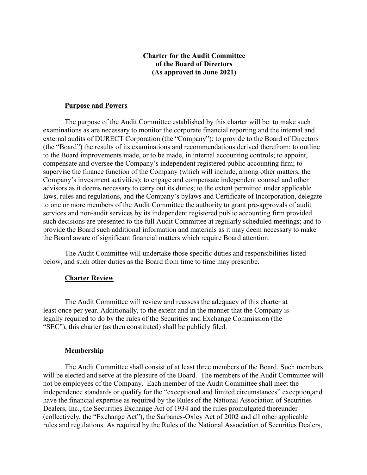# **Charter for the Audit Committee of the Board of Directors (As approved in June 2021)**

## **Purpose and Powers**

The purpose of the Audit Committee established by this charter will be: to make such examinations as are necessary to monitor the corporate financial reporting and the internal and external audits of DURECT Corporation (the "Company"); to provide to the Board of Directors (the "Board") the results of its examinations and recommendations derived therefrom; to outline to the Board improvements made, or to be made, in internal accounting controls; to appoint, compensate and oversee the Company's independent registered public accounting firm; to supervise the finance function of the Company (which will include, among other matters, the Company's investment activities); to engage and compensate independent counsel and other advisors as it deems necessary to carry out its duties; to the extent permitted under applicable laws, rules and regulations, and the Company's bylaws and Certificate of Incorporation, delegate to one or more members of the Audit Committee the authority to grant pre-approvals of audit services and non-audit services by its independent registered public accounting firm provided such decisions are presented to the full Audit Committee at regularly scheduled meetings; and to provide the Board such additional information and materials as it may deem necessary to make the Board aware of significant financial matters which require Board attention.

The Audit Committee will undertake those specific duties and responsibilities listed below, and such other duties as the Board from time to time may prescribe.

### **Charter Review**

The Audit Committee will review and reassess the adequacy of this charter at least once per year. Additionally, to the extent and in the manner that the Company is legally required to do by the rules of the Securities and Exchange Commission (the "SEC"), this charter (as then constituted) shall be publicly filed.

### **Membership**

The Audit Committee shall consist of at least three members of the Board. Such members will be elected and serve at the pleasure of the Board. The members of the Audit Committee will not be employees of the Company. Each member of the Audit Committee shall meet the independence standards or qualify for the "exceptional and limited circumstances" exception and have the financial expertise as required by the Rules of the National Association of Securities Dealers, Inc., the Securities Exchange Act of 1934 and the rules promulgated thereunder (collectively, the "Exchange Act"), the Sarbanes-Oxley Act of 2002 and all other applicable rules and regulations. As required by the Rules of the National Association of Securities Dealers,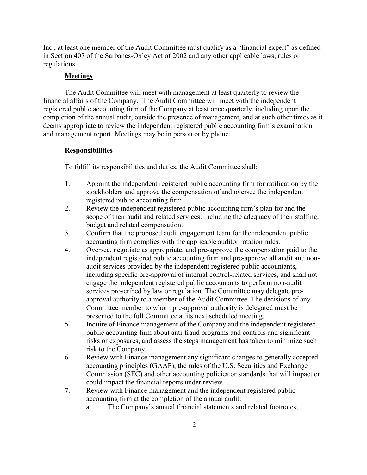Inc., at least one member of the Audit Committee must qualify as a "financial expert" as defined in Section 407 of the Sarbanes-Oxley Act of 2002 and any other applicable laws, rules or regulations.

## **Meetings**

The Audit Committee will meet with management at least quarterly to review the financial affairs of the Company. The Audit Committee will meet with the independent registered public accounting firm of the Company at least once quarterly, including upon the completion of the annual audit, outside the presence of management, and at such other times as it deems appropriate to review the independent registered public accounting firm's examination and management report. Meetings may be in person or by phone.

#### **Responsibilities**

To fulfill its responsibilities and duties, the Audit Committee shall:

- 1. Appoint the independent registered public accounting firm for ratification by the stockholders and approve the compensation of and oversee the independent registered public accounting firm.
- 2. Review the independent registered public accounting firm's plan for and the scope of their audit and related services, including the adequacy of their staffing, budget and related compensation.
- 3. Confirm that the proposed audit engagement team for the independent public accounting firm complies with the applicable auditor rotation rules.
- 4. Oversee, negotiate as appropriate, and pre-approve the compensation paid to the independent registered public accounting firm and pre-approve all audit and nonaudit services provided by the independent registered public accountants, including specific pre-approval of internal control-related services, and shall not engage the independent registered public accountants to perform non-audit services proscribed by law or regulation. The Committee may delegate preapproval authority to a member of the Audit Committee. The decisions of any Committee member to whom pre-approval authority is delegated must be presented to the full Committee at its next scheduled meeting.
- 5. Inquire of Finance management of the Company and the independent registered public accounting firm about anti-fraud programs and controls and significant risks or exposures, and assess the steps management has taken to minimize such risk to the Company.
- 6. Review with Finance management any significant changes to generally accepted accounting principles (GAAP), the rules of the U.S. Securities and Exchange Commission (SEC) and other accounting policies or standards that will impact or could impact the financial reports under review.
- 7. Review with Finance management and the independent registered public accounting firm at the completion of the annual audit:
	- a. The Company's annual financial statements and related footnotes;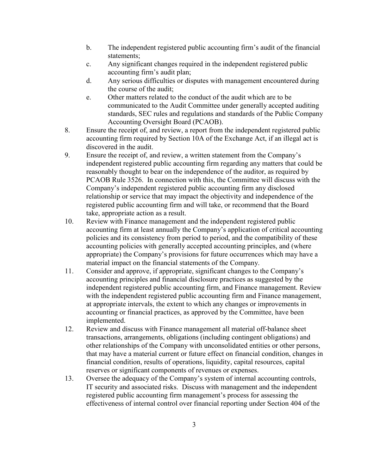- b. The independent registered public accounting firm's audit of the financial statements;
- c. Any significant changes required in the independent registered public accounting firm's audit plan;
- d. Any serious difficulties or disputes with management encountered during the course of the audit;
- e. Other matters related to the conduct of the audit which are to be communicated to the Audit Committee under generally accepted auditing standards, SEC rules and regulations and standards of the Public Company Accounting Oversight Board (PCAOB).
- 8. Ensure the receipt of, and review, a report from the independent registered public accounting firm required by Section 10A of the Exchange Act, if an illegal act is discovered in the audit.
- 9. Ensure the receipt of, and review, a written statement from the Company's independent registered public accounting firm regarding any matters that could be reasonably thought to bear on the independence of the auditor, as required by PCAOB Rule 3526. In connection with this, the Committee will discuss with the Company's independent registered public accounting firm any disclosed relationship or service that may impact the objectivity and independence of the registered public accounting firm and will take, or recommend that the Board take, appropriate action as a result.
- 10. Review with Finance management and the independent registered public accounting firm at least annually the Company's application of critical accounting policies and its consistency from period to period, and the compatibility of these accounting policies with generally accepted accounting principles, and (where appropriate) the Company's provisions for future occurrences which may have a material impact on the financial statements of the Company.
- 11. Consider and approve, if appropriate, significant changes to the Company's accounting principles and financial disclosure practices as suggested by the independent registered public accounting firm, and Finance management. Review with the independent registered public accounting firm and Finance management, at appropriate intervals, the extent to which any changes or improvements in accounting or financial practices, as approved by the Committee, have been implemented.
- 12. Review and discuss with Finance management all material off-balance sheet transactions, arrangements, obligations (including contingent obligations) and other relationships of the Company with unconsolidated entities or other persons, that may have a material current or future effect on financial condition, changes in financial condition, results of operations, liquidity, capital resources, capital reserves or significant components of revenues or expenses.
- 13. Oversee the adequacy of the Company's system of internal accounting controls, IT security and associated risks. Discuss with management and the independent registered public accounting firm management's process for assessing the effectiveness of internal control over financial reporting under Section 404 of the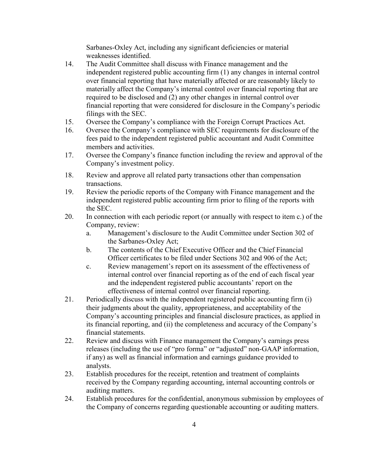Sarbanes-Oxley Act, including any significant deficiencies or material weaknesses identified.

- 14. The Audit Committee shall discuss with Finance management and the independent registered public accounting firm (1) any changes in internal control over financial reporting that have materially affected or are reasonably likely to materially affect the Company's internal control over financial reporting that are required to be disclosed and (2) any other changes in internal control over financial reporting that were considered for disclosure in the Company's periodic filings with the SEC.
- 15. Oversee the Company's compliance with the Foreign Corrupt Practices Act.
- 16. Oversee the Company's compliance with SEC requirements for disclosure of the fees paid to the independent registered public accountant and Audit Committee members and activities.
- 17. Oversee the Company's finance function including the review and approval of the Company's investment policy.
- 18. Review and approve all related party transactions other than compensation transactions.
- 19. Review the periodic reports of the Company with Finance management and the independent registered public accounting firm prior to filing of the reports with the SEC.
- 20. In connection with each periodic report (or annually with respect to item c.) of the Company, review:
	- a. Management's disclosure to the Audit Committee under Section 302 of the Sarbanes-Oxley Act;
	- b. The contents of the Chief Executive Officer and the Chief Financial Officer certificates to be filed under Sections 302 and 906 of the Act;
	- c. Review management's report on its assessment of the effectiveness of internal control over financial reporting as of the end of each fiscal year and the independent registered public accountants' report on the effectiveness of internal control over financial reporting.
- 21. Periodically discuss with the independent registered public accounting firm (i) their judgments about the quality, appropriateness, and acceptability of the Company's accounting principles and financial disclosure practices, as applied in its financial reporting, and (ii) the completeness and accuracy of the Company's financial statements.
- 22. Review and discuss with Finance management the Company's earnings press releases (including the use of "pro forma" or "adjusted" non-GAAP information, if any) as well as financial information and earnings guidance provided to analysts.
- 23. Establish procedures for the receipt, retention and treatment of complaints received by the Company regarding accounting, internal accounting controls or auditing matters.
- 24. Establish procedures for the confidential, anonymous submission by employees of the Company of concerns regarding questionable accounting or auditing matters.